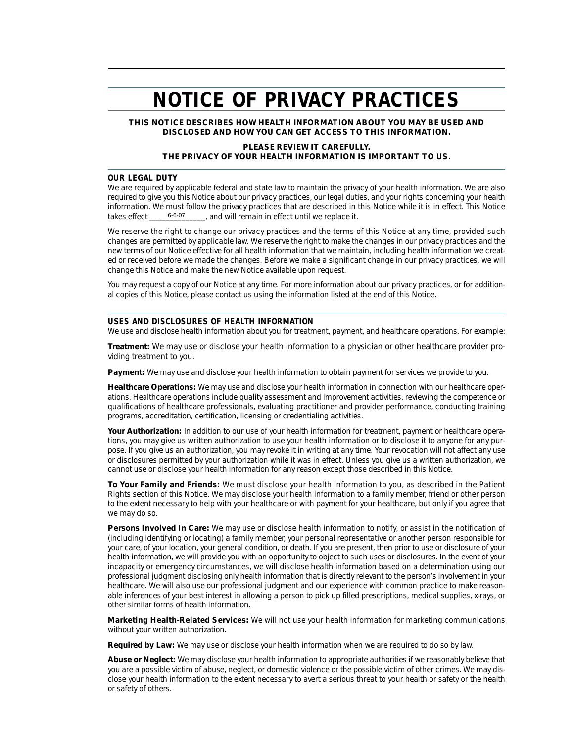# **NOTICE OF PRIVACY PRACTICES**

**THIS NOTICE DESCRIBES HOW HEALTH INFORMATION ABOUT YOU MAY BE USED AND DISCLOSED AND HOW YOU CAN GET ACCESS TO THIS INFORMATION.**

## **PLEASE REVIEW IT CAREFULLY. THE PRIVACY OF YOUR HEALTH INFORMATION IS IMPORTANT TO US.**

#### **OUR LEGAL DUTY**

We are required by applicable federal and state law to maintain the privacy of your health information. We are also required to give you this Notice about our privacy practices, our legal duties, and your rights concerning your health information. We must follow the privacy practices that are described in this Notice while it is in effect. This Notice takes effect  $\frac{6-6-07}{\pi}$ , and will remain in effect until we replace it. 6-6-07

We reserve the right to change our privacy practices and the terms of this Notice at any time, provided such changes are permitted by applicable law. We reserve the right to make the changes in our privacy practices and the new terms of our Notice effective for all health information that we maintain, including health information we created or received before we made the changes. Before we make a significant change in our privacy practices, we will change this Notice and make the new Notice available upon request.

You may request a copy of our Notice at any time. For more information about our privacy practices, or for additional copies of this Notice, please contact us using the information listed at the end of this Notice.

#### **USES AND DISCLOSURES OF HEALTH INFORMATION**

We use and disclose health information about you for treatment, payment, and healthcare operations. For example:

**Treatment:** We may use or disclose your health information to a physician or other healthcare provider providing treatment to you.

**Payment:** We may use and disclose your health information to obtain payment for services we provide to you.

**Healthcare Operations:** We may use and disclose your health information in connection with our healthcare operations. Healthcare operations include quality assessment and improvement activities, reviewing the competence or qualifications of healthcare professionals, evaluating practitioner and provider performance, conducting training programs, accreditation, certification, licensing or credentialing activities.

**Your Authorization:** In addition to our use of your health information for treatment, payment or healthcare operations, you may give us written authorization to use your health information or to disclose it to anyone for any purpose. If you give us an authorization, you may revoke it in writing at any time. Your revocation will not affect any use or disclosures permitted by your authorization while it was in effect. Unless you give us a written authorization, we cannot use or disclose your health information for any reason except those described in this Notice.

**To Your Family and Friends:** We must disclose your health information to you, as described in the Patient Rights section of this Notice. We may disclose your health information to a family member, friend or other person to the extent necessary to help with your healthcare or with payment for your healthcare, but only if you agree that we may do so.

**Persons Involved In Care:** We may use or disclose health information to notify, or assist in the notification of (including identifying or locating) a family member, your personal representative or another person responsible for your care, of your location, your general condition, or death. If you are present, then prior to use or disclosure of your health information, we will provide you with an opportunity to object to such uses or disclosures. In the event of your incapacity or emergency circumstances, we will disclose health information based on a determination using our professional judgment disclosing only health information that is directly relevant to the person's involvement in your healthcare. We will also use our professional judgment and our experience with common practice to make reasonable inferences of your best interest in allowing a person to pick up filled prescriptions, medical supplies, x-rays, or other similar forms of health information.

**Marketing Health-Related Services:** We will not use your health information for marketing communications without your written authorization.

**Required by Law:** We may use or disclose your health information when we are required to do so by law.

**Abuse or Neglect:** We may disclose your health information to appropriate authorities if we reasonably believe that you are a possible victim of abuse, neglect, or domestic violence or the possible victim of other crimes. We may disclose your health information to the extent necessary to avert a serious threat to your health or safety or the health or safety of others.